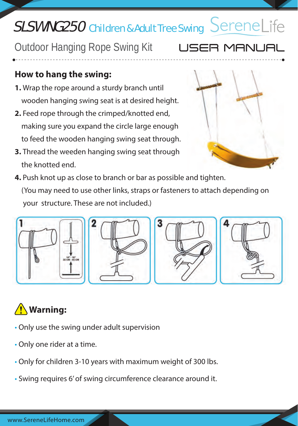# SLSWNG250 Children & Adult Tree Swing SereneLife

Outdoor Hanging Rope Swing Kit

### **How to hang the swing:**

- **1.** Wrap the rope around a sturdy branch until wooden hanging swing seat is at desired height.
- **2.** Feed rope through the crimped/knotted end, making sure you expand the circle large enough to feed the wooden hanging swing seat through.
- **3.** Thread the weeden hanging swing seat through the knotted end.
- **4.** Push knot up as close to branch or bar as possible and tighten. (You may need to use other links, straps or fasteners to attach depending on your structure. These are not included.)



## **Warning:**

- Only use the swing under adult supervision
- Only one rider at a time.
- Only for children 3-10 years with maximum weight of 300 lbs.
- Swing requires 6' of swing circumference clearance around it.



R MANUA